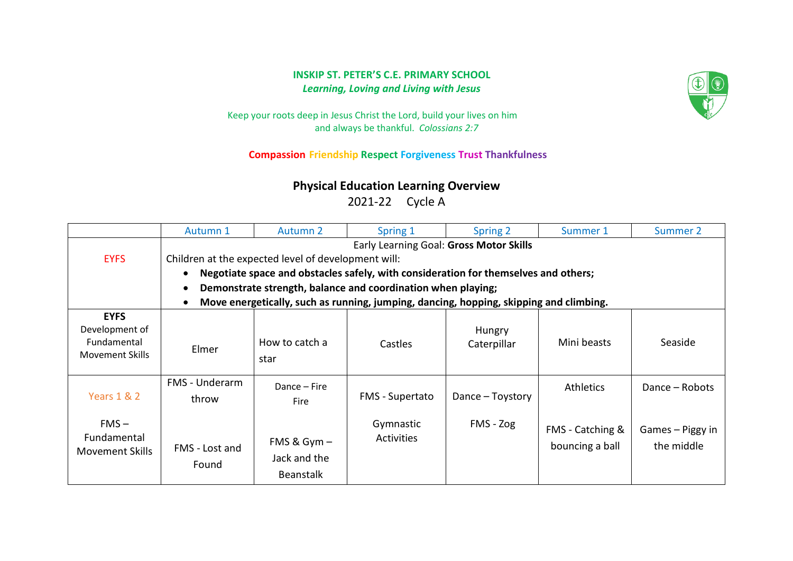## **INSKIP ST. PETER'S C.E. PRIMARY SCHOOL**  *Learning, Loving and Living with Jesus*



Keep your roots deep in Jesus Christ the Lord, build your lives on him and always be thankful. *Colossians 2:7*

## **Compassion Friendship Respect Forgiveness Trust Thankfulness**

## **Physical Education Learning Overview**

2021-22 Cycle A

|                                                                        | Autumn 1                                                                                            | Autumn 2                                          | Spring 1                       | Spring 2              | Summer 1                            | Summer 2                       |  |  |
|------------------------------------------------------------------------|-----------------------------------------------------------------------------------------------------|---------------------------------------------------|--------------------------------|-----------------------|-------------------------------------|--------------------------------|--|--|
|                                                                        | Early Learning Goal: Gross Motor Skills                                                             |                                                   |                                |                       |                                     |                                |  |  |
| <b>EYFS</b>                                                            | Children at the expected level of development will:                                                 |                                                   |                                |                       |                                     |                                |  |  |
|                                                                        | Negotiate space and obstacles safely, with consideration for themselves and others;<br>$\bullet$    |                                                   |                                |                       |                                     |                                |  |  |
|                                                                        | Demonstrate strength, balance and coordination when playing;<br>$\bullet$                           |                                                   |                                |                       |                                     |                                |  |  |
|                                                                        | Move energetically, such as running, jumping, dancing, hopping, skipping and climbing.<br>$\bullet$ |                                                   |                                |                       |                                     |                                |  |  |
| <b>EYFS</b><br>Development of<br>Fundamental<br><b>Movement Skills</b> | Elmer                                                                                               | How to catch a<br>star                            | Castles                        | Hungry<br>Caterpillar | Mini beasts                         | Seaside                        |  |  |
| Years 1 & 2                                                            | FMS - Underarm<br>throw                                                                             | Dance – Fire<br><b>Fire</b>                       | <b>FMS</b> - Supertato         | Dance – Toystory      | <b>Athletics</b>                    | Dance - Robots                 |  |  |
| $FMS -$<br>Fundamental<br><b>Movement Skills</b>                       | FMS - Lost and<br>Found                                                                             | FMS & $Gym -$<br>Jack and the<br><b>Beanstalk</b> | Gymnastic<br><b>Activities</b> | FMS - Zog             | FMS - Catching &<br>bouncing a ball | Games – Piggy in<br>the middle |  |  |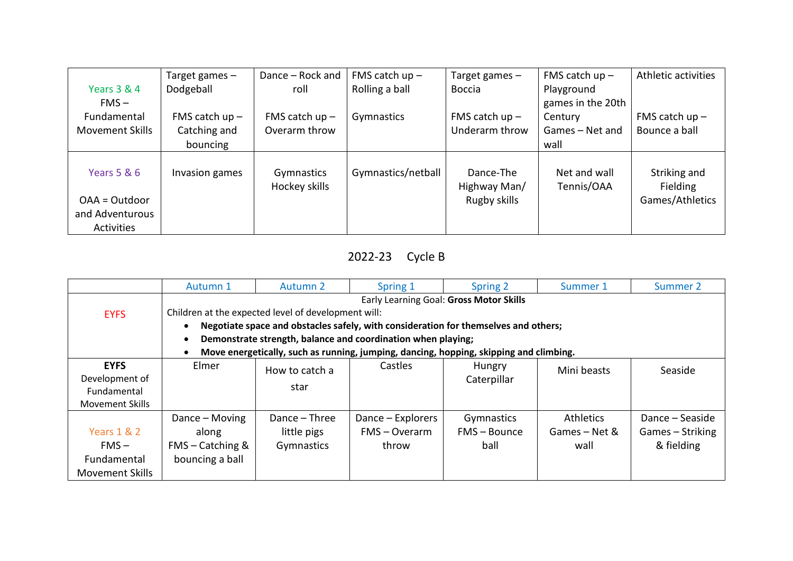|                        | Target games $-$ | Dance - Rock and            | FMS catch $up -$   | Target games $-$          | FMS catch $up -$           | Athletic activities      |
|------------------------|------------------|-----------------------------|--------------------|---------------------------|----------------------------|--------------------------|
| Years 3 & 4            | Dodgeball        | roll                        | Rolling a ball     | <b>Boccia</b>             | Playground                 |                          |
| $FMS -$                |                  |                             |                    |                           | games in the 20th          |                          |
| Fundamental            | FMS catch $up -$ | FMS catch $up -$            | Gymnastics         | FMS catch $up -$          | Century                    | FMS catch $up$ –         |
| <b>Movement Skills</b> | Catching and     | Overarm throw               |                    | Underarm throw            | Games - Net and            | Bounce a ball            |
|                        | bouncing         |                             |                    |                           | wall                       |                          |
| Years 5 & 6            | Invasion games   | Gymnastics<br>Hockey skills | Gymnastics/netball | Dance-The<br>Highway Man/ | Net and wall<br>Tennis/OAA | Striking and<br>Fielding |
| OAA = Outdoor          |                  |                             |                    | Rugby skills              |                            | Games/Athletics          |
| and Adventurous        |                  |                             |                    |                           |                            |                          |
| Activities             |                  |                             |                    |                           |                            |                          |

## 2022-23 Cycle B

|                        | Autumn 1                                                                                            | Autumn 2       | Spring 1          | Spring 2       | Summer 1      | Summer 2         |  |  |
|------------------------|-----------------------------------------------------------------------------------------------------|----------------|-------------------|----------------|---------------|------------------|--|--|
|                        | Early Learning Goal: Gross Motor Skills                                                             |                |                   |                |               |                  |  |  |
| <b>EYFS</b>            | Children at the expected level of development will:                                                 |                |                   |                |               |                  |  |  |
|                        | Negotiate space and obstacles safely, with consideration for themselves and others;<br>$\bullet$    |                |                   |                |               |                  |  |  |
|                        | Demonstrate strength, balance and coordination when playing;<br>$\bullet$                           |                |                   |                |               |                  |  |  |
|                        | Move energetically, such as running, jumping, dancing, hopping, skipping and climbing.<br>$\bullet$ |                |                   |                |               |                  |  |  |
| <b>EYFS</b>            | Elmer                                                                                               | How to catch a | Castles           | Hungry         | Mini beasts   | Seaside          |  |  |
| Development of         |                                                                                                     |                |                   | Caterpillar    |               |                  |  |  |
| Fundamental            |                                                                                                     | star           |                   |                |               |                  |  |  |
| Movement Skills        |                                                                                                     |                |                   |                |               |                  |  |  |
|                        | Dance – Moving                                                                                      | Dance – Three  | Dance – Explorers | Gymnastics     | Athletics     | Dance – Seaside  |  |  |
| Years 1 & 2            | along                                                                                               | little pigs    | FMS - Overarm     | $FMS - Bounce$ | Games – Net & | Games – Striking |  |  |
| $FMS -$                | $FMS - Catching &$                                                                                  | Gymnastics     | throw             | ball           | wall          | & fielding       |  |  |
| Fundamental            | bouncing a ball                                                                                     |                |                   |                |               |                  |  |  |
| <b>Movement Skills</b> |                                                                                                     |                |                   |                |               |                  |  |  |